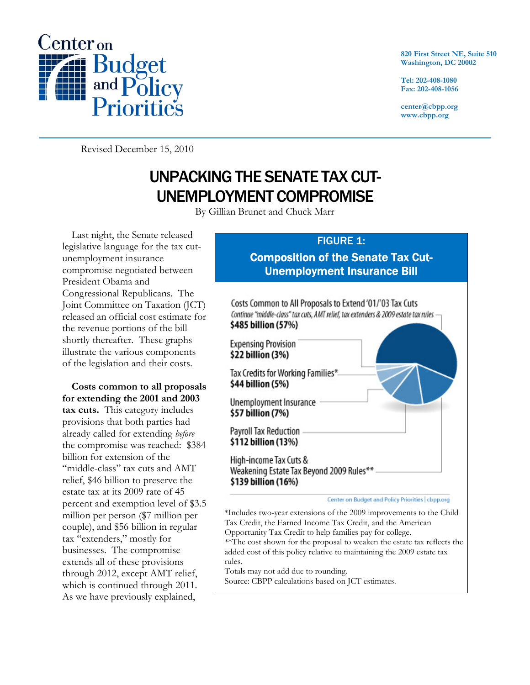

**820 First Street NE, Suite 510 Washington, DC 20002** 

**Tel: 202-408-1080 Fax: 202-408-1056** 

**center@cbpp.org www.cbpp.org** 

Revised December 15, 2010

## UNPACKING THE SENATE TAX CUT-UNEMPLOYMENT COMPROMISE

By Gillian Brunet and Chuck Marr

Last night, the Senate released legislative language for the tax cutunemployment insurance compromise negotiated between President Obama and Congressional Republicans. The Joint Committee on Taxation (JCT) released an official cost estimate for the revenue portions of the bill shortly thereafter. These graphs illustrate the various components of the legislation and their costs.

**Costs common to all proposals for extending the 2001 and 2003 tax cuts.** This category includes provisions that both parties had already called for extending *before* the compromise was reached: \$384 billion for extension of the "middle-class" tax cuts and AMT relief, \$46 billion to preserve the estate tax at its 2009 rate of 45 percent and exemption level of \$3.5 million per person (\$7 million per couple), and \$56 billion in regular tax "extenders," mostly for businesses. The compromise extends all of these provisions through 2012, except AMT relief, which is continued through 2011. As we have previously explained,

## **FIGURE 1:** Composition of the Senate Tax Cut-Unemployment Insurance Bill



Totals may not add due to rounding. Source: CBPP calculations based on JCT estimates.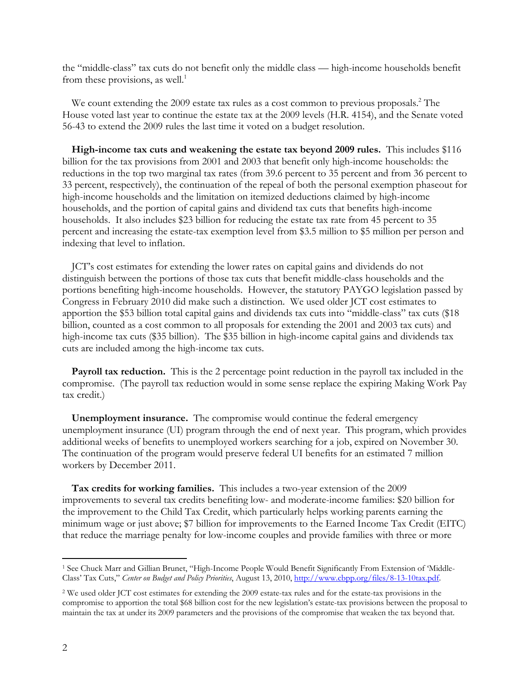the "middle-class" tax cuts do not benefit only the middle class — high-income households benefit from these provisions, as well.<sup>1</sup>

We count extending the 2009 estate tax rules as a cost common to previous proposals.<sup>2</sup> The House voted last year to continue the estate tax at the 2009 levels (H.R. 4154), and the Senate voted 56-43 to extend the 2009 rules the last time it voted on a budget resolution.

**High-income tax cuts and weakening the estate tax beyond 2009 rules.** This includes \$116 billion for the tax provisions from 2001 and 2003 that benefit only high-income households: the reductions in the top two marginal tax rates (from 39.6 percent to 35 percent and from 36 percent to 33 percent, respectively), the continuation of the repeal of both the personal exemption phaseout for high-income households and the limitation on itemized deductions claimed by high-income households, and the portion of capital gains and dividend tax cuts that benefits high-income households. It also includes \$23 billion for reducing the estate tax rate from 45 percent to 35 percent and increasing the estate-tax exemption level from \$3.5 million to \$5 million per person and indexing that level to inflation.

JCT's cost estimates for extending the lower rates on capital gains and dividends do not distinguish between the portions of those tax cuts that benefit middle-class households and the portions benefiting high-income households. However, the statutory PAYGO legislation passed by Congress in February 2010 did make such a distinction. We used older JCT cost estimates to apportion the \$53 billion total capital gains and dividends tax cuts into "middle-class" tax cuts (\$18 billion, counted as a cost common to all proposals for extending the 2001 and 2003 tax cuts) and high-income tax cuts (\$35 billion). The \$35 billion in high-income capital gains and dividends tax cuts are included among the high-income tax cuts.

**Payroll tax reduction.** This is the 2 percentage point reduction in the payroll tax included in the compromise. (The payroll tax reduction would in some sense replace the expiring Making Work Pay tax credit.)

**Unemployment insurance.** The compromise would continue the federal emergency unemployment insurance (UI) program through the end of next year. This program, which provides additional weeks of benefits to unemployed workers searching for a job, expired on November 30. The continuation of the program would preserve federal UI benefits for an estimated 7 million workers by December 2011.

**Tax credits for working families.** This includes a two-year extension of the 2009 improvements to several tax credits benefiting low- and moderate-income families: \$20 billion for the improvement to the Child Tax Credit, which particularly helps working parents earning the minimum wage or just above; \$7 billion for improvements to the Earned Income Tax Credit (EITC) that reduce the marriage penalty for low-income couples and provide families with three or more

 $\overline{a}$ 

<sup>1</sup> See Chuck Marr and Gillian Brunet, "High-Income People Would Benefit Significantly From Extension of 'Middle-Class' Tax Cuts," *Center on Budget and Policy Priorities*, August 13, 2010, http://www.cbpp.org/files/8-13-10tax.pdf.

<sup>2</sup> We used older JCT cost estimates for extending the 2009 estate-tax rules and for the estate-tax provisions in the compromise to apportion the total \$68 billion cost for the new legislation's estate-tax provisions between the proposal to maintain the tax at under its 2009 parameters and the provisions of the compromise that weaken the tax beyond that.